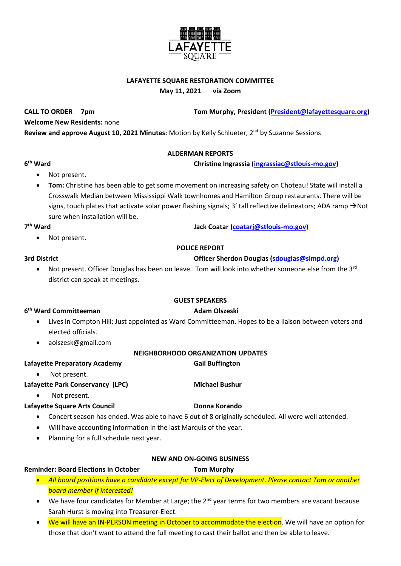## **LAFAYETTE SQUARE RESTORATION COMMITTEE**

**May 11, 2021 via Zoom**

**CALL TO ORDER 7pm Tom Murphy, President [\(President@lafayettesquare.org\)](mailto:President@lafayettesquare.org)** 

**Welcome New Residents:** none

**Review and approve August 10, 2021 Minutes:** Motion by Kelly Schlueter, 2nd by Suzanne Sessions

## **ALDERMAN REPORTS**

## **christine Ingrassia [\(ingrassiac@stlouis-mo.gov\)](mailto:ingrassiac@stlouis-mo.gov)**

- Not present.
- **Tom:** Christine has been able to get some movement on increasing safety on Choteau! State will install a Crosswalk Median between Mississippi Walk townhomes and Hamilton Group restaurants. There will be signs, touch plates that activate solar power flashing signals; 3' tall reflective delineators; ADA ramp  $\rightarrow$ Not sure when installation will be.

## 7<sup>th</sup> Ward

**6**

Not present.

## **POLICE REPORT**

# **3rd District Officer Sherdon Douglas [\(sdouglas@slmpd.org\)](mailto:sdouglas@slmpd.org)**

**th Ward Jack Coatar [\(coatarj@stlouis-mo.gov\)](mailto:coatarj@stlouis-mo.gov)** 

• Not present. Officer Douglas has been on leave. Tom will look into whether someone else from the  $3^{rd}$ district can speak at meetings.

## **GUEST SPEAKERS**

# **6 th Ward Committeeman Adam Olszeski**

- Lives in Compton Hill; Just appointed as Ward Committeeman. Hopes to be a liaison between voters and elected officials.
- aolszesk@gmail.com

# **NEIGHBORHOOD ORGANIZATION UPDATES**

- Lafayette Preparatory Academy **Gail Buffington** 
	- Not present.

# Lafayette Park Conservancy (LPC) Michael Bushur

• Not present.

# Lafayette Square Arts Council **Donna Korando**

- Concert season has ended. Was able to have 6 out of 8 originally scheduled. All were well attended.
- Will have accounting information in the last Marquis of the year.
- Planning for a full schedule next year.

## **NEW AND ON-GOING BUSINESS**

## **Reminder: Board Elections in October Tom Murphy**

- *All board positions have a candidate except for VP-Elect of Development. Please contact Tom or another board member if interested!*
- We have four candidates for Member at Large; the  $2^{nd}$  year terms for two members are vacant because Sarah Hurst is moving into Treasurer-Elect.
- We will have an IN-PERSON meeting in October to accommodate the election. We will have an option for those that don't want to attend the full meeting to cast their ballot and then be able to leave.

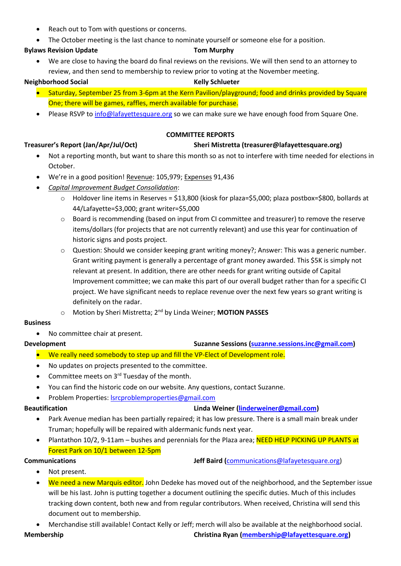- Reach out to Tom with questions or concerns.
- The October meeting is the last chance to nominate yourself or someone else for a position.

# **Bylaws Revision Update Tom Murphy**

• We are close to having the board do final reviews on the revisions. We will then send to an attorney to review, and then send to membership to review prior to voting at the November meeting.

## **Neighborhood Social Kelly Schlueter**

- 
- Saturday, September 25 from 3-6pm at the Kern Pavilion/playground; food and drinks provided by Square One; there will be games, raffles, merch available for purchase.
- Please RSVP t[o info@lafayettesquare.org](mailto:info@lafayettesquare.org) so we can make sure we have enough food from Square One.

## **COMMITTEE REPORTS**

## **Treasurer's Report (Jan/Apr/Jul/Oct) Sheri Mistretta (treasurer@lafayettesquare.org)**

- Not a reporting month, but want to share this month so as not to interfere with time needed for elections in October.
- We're in a good position! Revenue: 105,979; Expenses 91,436
- *Capital Improvement Budget Consolidation*:
	- o Holdover line items in Reserves = \$13,800 (kiosk for plaza=\$5,000; plaza postbox=\$800, bollards at 44/Lafayette=\$3,000; grant writer=\$5,000
	- $\circ$  Board is recommending (based on input from CI committee and treasurer) to remove the reserve items/dollars (for projects that are not currently relevant) and use this year for continuation of historic signs and posts project.
	- o Question: Should we consider keeping grant writing money?; Answer: This was a generic number. Grant writing payment is generally a percentage of grant money awarded. This \$5K is simply not relevant at present. In addition, there are other needs for grant writing outside of Capital Improvement committee; we can make this part of our overall budget rather than for a specific CI project. We have significant needs to replace revenue over the next few years so grant writing is definitely on the radar.
	- o Motion by Sheri Mistretta; 2<sup>nd</sup> by Linda Weiner; MOTION PASSES

## **Business**

• No committee chair at present.

# **Development Suzanne Sessions [\(suzanne.sessions.inc@gmail.com\)](mailto:suzanne.sessions.inc@gmail.com) Suzanne.sessions.inc@gmail.com**

- We really need somebody to step up and fill the VP-Elect of Development role.
- No updates on projects presented to the committee.
- Committee meets on 3<sup>rd</sup> Tuesday of the month.
- You can find the historic code on our website. Any questions, contact Suzanne.
- Problem Properties: [lsrcproblemproperties@gmail.com](mailto:lsrcproblemproperties@gmail.com)

# **Beautification Linda Weiner [\(linderweiner@gmail.com\)](mailto:linderweiner@gmail.com)**

- Park Avenue median has been partially repaired; it has low pressure. There is a small main break under Truman; hopefully will be repaired with aldermanic funds next year.
- Plantathon 10/2, 9-11am bushes and perennials for the Plaza area; NEED HELP PICKING UP PLANTS at Forest Park on 10/1 between 12-5pm

# **Communications Jeff Baird (**[communications@lafayetesquare.org\)](mailto:communications@lafayetesquare.org)

- Not present.
- We need a new Marquis editor. John Dedeke has moved out of the neighborhood, and the September issue will be his last. John is putting together a document outlining the specific duties. Much of this includes tracking down content, both new and from regular contributors. When received, Christina will send this document out to membership.
- Merchandise still available! Contact Kelly or Jeff; merch will also be available at the neighborhood social.

**Membership Christina Ryan [\(membership@lafayettesquare.org\)](mailto:membership@lafayettesquare.org)**